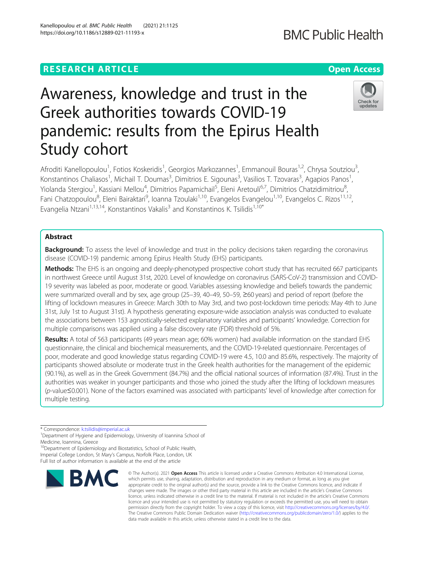## **RESEARCH ARTICLE Example 2014 12:30 The Contract of Contract ACCESS**

# Awareness, knowledge and trust in the Greek authorities towards COVID-19 pandemic: results from the Epirus Health Study cohort

Afroditi Kanellopoulou<sup>1</sup>, Fotios Koskeridis<sup>1</sup>, Georgios Markozannes<sup>1</sup>, Emmanouil Bouras<sup>1,2</sup>, Chrysa Soutziou<sup>3</sup> , Konstantinos Chaliasos<sup>1</sup>, Michail T. Doumas<sup>3</sup>, Dimitrios E. Sigounas<sup>3</sup>, Vasilios T. Tzovaras<sup>3</sup>, Agapios Panos<sup>1</sup> , Yiolanda Stergiou<sup>1</sup>, Kassiani Mellou<sup>4</sup>, Dimitrios Papamichail<sup>5</sup>, Eleni Aretouli<sup>6,7</sup>, Dimitrios Chatzidimitriou<sup>8</sup> .<br>, Fani Chatzopoulou<sup>8</sup>, Eleni Bairaktari<sup>9</sup>, Ioanna Tzoulaki<sup>1,10</sup>, Evangelos Evangelou<sup>1,10</sup>, Evangelos C. Rizos<sup>11,12</sup>, Evangelia Ntzani<sup>1,13,14</sup>, Konstantinos Vakalis<sup>3</sup> and Konstantinos K. Tsilidis<sup>1,10\*</sup>

## Abstract

**Background:** To assess the level of knowledge and trust in the policy decisions taken regarding the coronavirus disease (COVID-19) pandemic among Epirus Health Study (EHS) participants.

Methods: The EHS is an ongoing and deeply-phenotyped prospective cohort study that has recruited 667 participants in northwest Greece until August 31st, 2020. Level of knowledge on coronavirus (SARS-CoV-2) transmission and COVID-19 severity was labeled as poor, moderate or good. Variables assessing knowledge and beliefs towards the pandemic were summarized overall and by sex, age group (25–39, 40–49, 50–59, ≥60 years) and period of report (before the lifting of lockdown measures in Greece: March 30th to May 3rd, and two post-lockdown time periods: May 4th to June 31st, July 1st to August 31st). A hypothesis generating exposure-wide association analysis was conducted to evaluate the associations between 153 agnostically-selected explanatory variables and participants' knowledge. Correction for multiple comparisons was applied using a false discovery rate (FDR) threshold of 5%.

Results: A total of 563 participants (49 years mean age; 60% women) had available information on the standard EHS questionnaire, the clinical and biochemical measurements, and the COVID-19-related questionnaire. Percentages of poor, moderate and good knowledge status regarding COVID-19 were 4.5, 10.0 and 85.6%, respectively. The majority of participants showed absolute or moderate trust in the Greek health authorities for the management of the epidemic (90.1%), as well as in the Greek Government (84.7%) and the official national sources of information (87.4%). Trust in the authorities was weaker in younger participants and those who joined the study after the lifting of lockdown measures (p-value≤0.001). None of the factors examined was associated with participants' level of knowledge after correction for multiple testing.

\* Correspondence: [k.tsilidis@imperial.ac.uk](mailto:k.tsilidis@imperial.ac.uk) <sup>1</sup>

<sup>10</sup>Department of Epidemiology and Biostatistics, School of Public Health, Imperial College London, St Mary's Campus, Norfolk Place, London, UK Full list of author information is available at the end of the article



which permits use, sharing, adaptation, distribution and reproduction in any medium or format, as long as you give appropriate credit to the original author(s) and the source, provide a link to the Creative Commons licence, and indicate if changes were made. The images or other third party material in this article are included in the article's Creative Commons licence, unless indicated otherwise in a credit line to the material. If material is not included in the article's Creative Commons licence and your intended use is not permitted by statutory regulation or exceeds the permitted use, you will need to obtain permission directly from the copyright holder. To view a copy of this licence, visit [http://creativecommons.org/licenses/by/4.0/.](http://creativecommons.org/licenses/by/4.0/) The Creative Commons Public Domain Dedication waiver [\(http://creativecommons.org/publicdomain/zero/1.0/](http://creativecommons.org/publicdomain/zero/1.0/)) applies to the data made available in this article, unless otherwise stated in a credit line to the data.

© The Author(s), 2021 **Open Access** This article is licensed under a Creative Commons Attribution 4.0 International License,





**BMC Public Health** 

<sup>&</sup>lt;sup>1</sup>Department of Hygiene and Epidemiology, University of Ioannina School of Medicine, Ioannina, Greece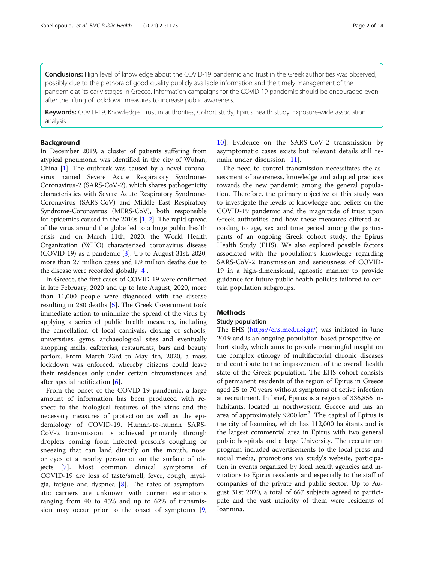Conclusions: High level of knowledge about the COVID-19 pandemic and trust in the Greek authorities was observed, possibly due to the plethora of good quality publicly available information and the timely management of the pandemic at its early stages in Greece. Information campaigns for the COVID-19 pandemic should be encouraged even after the lifting of lockdown measures to increase public awareness.

Keywords: COVID-19, Knowledge, Trust in authorities, Cohort study, Epirus health study, Exposure-wide association analysis

## Background

In December 2019, a cluster of patients suffering from atypical pneumonia was identified in the city of Wuhan, China [[1\]](#page-12-0). The outbreak was caused by a novel coronavirus named Severe Acute Respiratory Syndrome-Coronavirus-2 (SARS-CoV-2), which shares pathogenicity characteristics with Severe Acute Respiratory Syndrome-Coronavirus (SARS-CoV) and Middle East Respiratory Syndrome-Coronavirus (MERS-CoV), both responsible for epidemics caused in the 2010s [\[1,](#page-12-0) [2\]](#page-12-0). The rapid spread of the virus around the globe led to a huge public health crisis and on March 11th, 2020, the World Health Organization (WHO) characterized coronavirus disease (COVID-19) as a pandemic [[3\]](#page-12-0). Up to August 31st, 2020, more than 27 million cases and 1.9 million deaths due to the disease were recorded globally [[4](#page-12-0)].

In Greece, the first cases of COVID-19 were confirmed in late February, 2020 and up to late August, 2020, more than 11,000 people were diagnosed with the disease resulting in 280 deaths [[5\]](#page-12-0). The Greek Government took immediate action to minimize the spread of the virus by applying a series of public health measures, including the cancellation of local carnivals, closing of schools, universities, gyms, archaeological sites and eventually shopping malls, cafeterias, restaurants, bars and beauty parlors. From March 23rd to May 4th, 2020, a mass lockdown was enforced, whereby citizens could leave their residences only under certain circumstances and after special notification [\[6](#page-13-0)].

From the onset of the COVID-19 pandemic, a large amount of information has been produced with respect to the biological features of the virus and the necessary measures of protection as well as the epidemiology of COVID-19. Human-to-human SARS-CoV-2 transmission is achieved primarily through droplets coming from infected person's coughing or sneezing that can land directly on the mouth, nose, or eyes of a nearby person or on the surface of objects [[7](#page-13-0)]. Most common clinical symptoms of COVID-19 are loss of taste/smell, fever, cough, myalgia, fatigue and dyspnea [[8\]](#page-13-0). The rates of asymptomatic carriers are unknown with current estimations ranging from 40 to 45% and up to 62% of transmission may occur prior to the onset of symptoms [\[9](#page-13-0),

[10\]](#page-13-0). Evidence on the SARS-CoV-2 transmission by asymptomatic cases exists but relevant details still remain under discussion [[11\]](#page-13-0).

The need to control transmission necessitates the assessment of awareness, knowledge and adapted practices towards the new pandemic among the general population. Therefore, the primary objective of this study was to investigate the levels of knowledge and beliefs on the COVID-19 pandemic and the magnitude of trust upon Greek authorities and how these measures differed according to age, sex and time period among the participants of an ongoing Greek cohort study, the Epirus Health Study (EHS). We also explored possible factors associated with the population's knowledge regarding SARS-CoV-2 transmission and seriousness of COVID-19 in a high-dimensional, agnostic manner to provide guidance for future public health policies tailored to certain population subgroups.

## Methods

## Study population

The EHS ([https://ehs.med.uoi.gr/\)](https://ehs.med.uoi.gr/) was initiated in June 2019 and is an ongoing population-based prospective cohort study, which aims to provide meaningful insight on the complex etiology of multifactorial chronic diseases and contribute to the improvement of the overall health state of the Greek population. The EHS cohort consists of permanent residents of the region of Epirus in Greece aged 25 to 70 years without symptoms of active infection at recruitment. In brief, Epirus is a region of 336,856 inhabitants, located in northwestern Greece and has an area of approximately  $9200 \text{ km}^2$ . The capital of Epirus is the city of Ioannina, which has 112,000 habitants and is the largest commercial area in Epirus with two general public hospitals and a large University. The recruitment program included advertisements to the local press and social media, promotions via study's website, participation in events organized by local health agencies and invitations to Epirus residents and especially to the staff of companies of the private and public sector. Up to August 31st 2020, a total of 667 subjects agreed to participate and the vast majority of them were residents of Ioannina.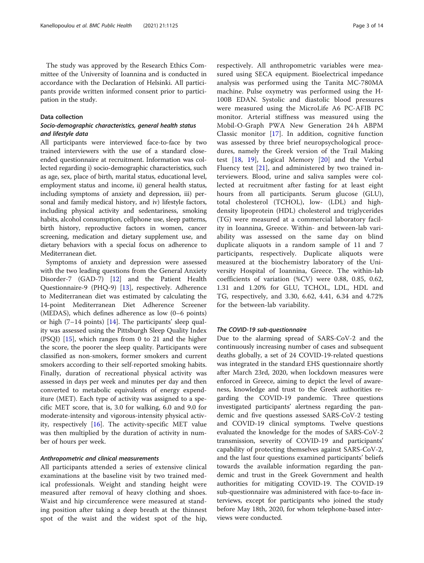## Data collection

## Socio-demographic characteristics, general health status and lifestyle data

All participants were interviewed face-to-face by two trained interviewers with the use of a standard closeended questionnaire at recruitment. Information was collected regarding i) socio-demographic characteristics, such as age, sex, place of birth, marital status, educational level, employment status and income, ii) general health status, including symptoms of anxiety and depression, iii) personal and family medical history, and iv) lifestyle factors, including physical activity and sedentariness, smoking habits, alcohol consumption, cellphone use, sleep patterns, birth history, reproductive factors in women, cancer screening, medication and dietary supplement use, and dietary behaviors with a special focus on adherence to Mediterranean diet.

Symptoms of anxiety and depression were assessed with the two leading questions from the General Anxiety Disorder-7 (GAD-7) [[12\]](#page-13-0) and the Patient Health Questionnaire-9 (PHQ-9) [[13\]](#page-13-0), respectively. Adherence to Mediterranean diet was estimated by calculating the 14-point Mediterranean Diet Adherence Screener (MEDAS), which defines adherence as low (0–6 points) or high (7–14 points) [\[14](#page-13-0)]. The participants' sleep quality was assessed using the Pittsburgh Sleep Quality Index (PSQI) [[15\]](#page-13-0), which ranges from 0 to 21 and the higher the score, the poorer the sleep quality. Participants were classified as non-smokers, former smokers and current smokers according to their self-reported smoking habits. Finally, duration of recreational physical activity was assessed in days per week and minutes per day and then converted to metabolic equivalents of energy expenditure (MET). Each type of activity was assigned to a specific MET score, that is, 3.0 for walking, 6.0 and 9.0 for moderate-intensity and vigorous-intensity physical activity, respectively [[16\]](#page-13-0). The activity-specific MET value was then multiplied by the duration of activity in number of hours per week.

## Anthropometric and clinical measurements

All participants attended a series of extensive clinical examinations at the baseline visit by two trained medical professionals. Weight and standing height were measured after removal of heavy clothing and shoes. Waist and hip circumference were measured at standing position after taking a deep breath at the thinnest spot of the waist and the widest spot of the hip,

respectively. All anthropometric variables were measured using SECA equipment. Bioelectrical impedance analysis was performed using the Tanita MC-780MA machine. Pulse oxymetry was performed using the H-100B EDAN. Systolic and diastolic blood pressures were measured using the MicroLife A6 PC-AFIB PC monitor. Arterial stiffness was measured using the Mobil-O-Graph PWA New Generation 24 h ABPM Classic monitor [[17](#page-13-0)]. In addition, cognitive function was assessed by three brief neuropsychological procedures, namely the Greek version of the Trail Making test  $[18, 19]$  $[18, 19]$  $[18, 19]$ , Logical Memory  $[20]$  $[20]$  and the Verbal Fluency test [\[21](#page-13-0)], and administered by two trained interviewers. Blood, urine and saliva samples were collected at recruitment after fasting for at least eight hours from all participants. Serum glucose (GLU), total cholesterol (TCHOL), low- (LDL) and highdensity lipoprotein (HDL) cholesterol and triglycerides (TG) were measured at a commercial laboratory facility in Ioannina, Greece. Within- and between-lab variability was assessed on the same day on blind duplicate aliquots in a random sample of 11 and 7 participants, respectively. Duplicate aliquots were measured at the biochemistry laboratory of the University Hospital of Ioannina, Greece. The within-lab coefficients of variation (%CV) were 0.88, 0.85, 0.62, 1.31 and 1.20% for GLU, TCHOL, LDL, HDL and TG, respectively, and 3.30, 6.62, 4.41, 6.34 and 4.72% for the between-lab variability.

## The COVID-19 sub-questionnaire

Due to the alarming spread of SARS-CoV-2 and the continuously increasing number of cases and subsequent deaths globally, a set of 24 COVID-19-related questions was integrated in the standard EHS questionnaire shortly after March 23rd, 2020, when lockdown measures were enforced in Greece, aiming to depict the level of awareness, knowledge and trust to the Greek authorities regarding the COVID-19 pandemic. Three questions investigated participants' alertness regarding the pandemic and five questions assessed SARS-CoV-2 testing and COVID-19 clinical symptoms. Twelve questions evaluated the knowledge for the modes of SARS-CoV-2 transmission, severity of COVID-19 and participants' capability of protecting themselves against SARS-CoV-2, and the last four questions examined participants' beliefs towards the available information regarding the pandemic and trust in the Greek Government and health authorities for mitigating COVID-19. The COVID-19 sub-questionnaire was administered with face-to-face interviews, except for participants who joined the study before May 18th, 2020, for whom telephone-based interviews were conducted.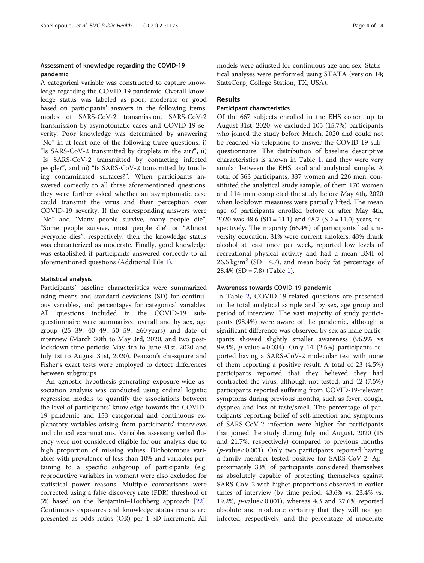## Assessment of knowledge regarding the COVID-19 pandemic

A categorical variable was constructed to capture knowledge regarding the COVID-19 pandemic. Overall knowledge status was labeled as poor, moderate or good based on participants' answers in the following items: modes of SARS-CoV-2 transmission, SARS-CoV-2 transmission by asymptomatic cases and COVID-19 severity. Poor knowledge was determined by answering "No" in at least one of the following three questions: i) "Is SARS-CoV-2 transmitted by droplets in the air?", ii) "Is SARS-CoV-2 transmitted by contacting infected people?", and iii) "Is SARS-CoV-2 transmitted by touching contaminated surfaces?". When participants answered correctly to all three aforementioned questions, they were further asked whether an asymptomatic case could transmit the virus and their perception over COVID-19 severity. If the corresponding answers were "No" and "Many people survive, many people die", "Some people survive, most people die" or "Almost everyone dies", respectively, then the knowledge status was characterized as moderate. Finally, good knowledge was established if participants answered correctly to all aforementioned questions (Additional File [1](#page-12-0)).

## Statistical analysis

Participants' baseline characteristics were summarized using means and standard deviations (SD) for continuous variables, and percentages for categorical variables. All questions included in the COVID-19 subquestionnaire were summarized overall and by sex, age group (25–39, 40–49, 50–59, ≥60 years) and date of interview (March 30th to May 3rd, 2020, and two postlockdown time periods: May 4th to June 31st, 2020 and July 1st to August 31st, 2020). Pearson's chi-square and Fisher's exact tests were employed to detect differences between subgroups.

An agnostic hypothesis generating exposure-wide association analysis was conducted using ordinal logistic regression models to quantify the associations between the level of participants' knowledge towards the COVID-19 pandemic and 153 categorical and continuous explanatory variables arising from participants' interviews and clinical examinations. Variables assessing verbal fluency were not considered eligible for our analysis due to high proportion of missing values. Dichotomous variables with prevalence of less than 10% and variables pertaining to a specific subgroup of participants (e.g. reproductive variables in women) were also excluded for statistical power reasons. Multiple comparisons were corrected using a false discovery rate (FDR) threshold of 5% based on the Benjamini–Hochberg approach [\[22](#page-13-0)]. Continuous exposures and knowledge status results are presented as odds ratios (OR) per 1 SD increment. All

models were adjusted for continuous age and sex. Statistical analyses were performed using STATA (version 14; StataCorp, College Station, TX, USA).

## Results

## Participant characteristics

Of the 667 subjects enrolled in the EHS cohort up to August 31st, 2020, we excluded 105 (15.7%) participants who joined the study before March, 2020 and could not be reached via telephone to answer the COVID-19 subquestionnaire. The distribution of baseline descriptive characteristics is shown in Table [1,](#page-4-0) and they were very similar between the EHS total and analytical sample. A total of 563 participants, 337 women and 226 men, constituted the analytical study sample, of them 170 women and 114 men completed the study before May 4th, 2020 when lockdown measures were partially lifted. The mean age of participants enrolled before or after May 4th, 2020 was 48.6 (SD = 11.1) and 48.7 (SD = 11.0) years, respectively. The majority (66.4%) of participants had university education, 31% were current smokers, 43% drank alcohol at least once per week, reported low levels of recreational physical activity and had a mean BMI of  $26.6 \text{ kg/m}^2$  (SD = 4.7), and mean body fat percentage of  $28.4\%$  (SD = 7.8) (Table [1](#page-4-0)).

## Awareness towards COVID-19 pandemic

In Table [2,](#page-5-0) COVID-19-related questions are presented in the total analytical sample and by sex, age group and period of interview. The vast majority of study participants (98.4%) were aware of the pandemic, although a significant difference was observed by sex as male participants showed slightly smaller awareness (96.9% vs 99.4%, *p*-value = 0.034). Only 14  $(2.5%)$  participants reported having a SARS-CoV-2 molecular test with none of them reporting a positive result. A total of 23 (4.5%) participants reported that they believed they had contracted the virus, although not tested, and 42 (7.5%) participants reported suffering from COVID-19-relevant symptoms during previous months, such as fever, cough, dyspnea and loss of taste/smell. The percentage of participants reporting belief of self-infection and symptoms of SARS-CoV-2 infection were higher for participants that joined the study during July and August, 2020 (15 and 21.7%, respectively) compared to previous months (p-value< 0.001). Only two participants reported having a family member tested positive for SARS-CoV-2. Approximately 33% of participants considered themselves as absolutely capable of protecting themselves against SARS-CoV-2 with higher proportions observed in earlier times of interview (by time period: 43.6% vs. 23.4% vs. 19.2%, p-value< 0.001), whereas 4.3 and 27.6% reported absolute and moderate certainty that they will not get infected, respectively, and the percentage of moderate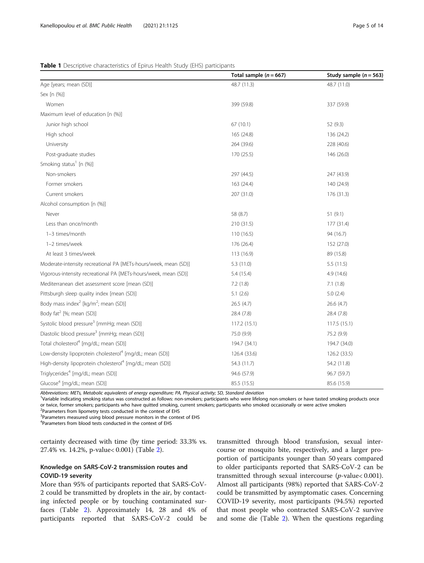#### <span id="page-4-0"></span>Table 1 Descriptive characteristics of Epirus Health Study (EHS) participants

|                                                                      | Total sample ( $n = 667$ ) | Study sample ( $n = 563$ ) |
|----------------------------------------------------------------------|----------------------------|----------------------------|
| Age [years; mean (SD)]                                               | 48.7 (11.3)                | 48.7 (11.0)                |
| Sex [n (%)]                                                          |                            |                            |
| Women                                                                | 399 (59.8)                 | 337 (59.9)                 |
| Maximum level of education [n (%)]                                   |                            |                            |
| Junior high school                                                   | 67(10.1)                   | 52 (9.3)                   |
| High school                                                          | 165 (24.8)                 | 136 (24.2)                 |
| University                                                           | 264 (39.6)                 | 228 (40.6)                 |
| Post-graduate studies                                                | 170 (25.5)                 | 146 (26.0)                 |
| Smoking status <sup>1</sup> [n (%)]                                  |                            |                            |
| Non-smokers                                                          | 297 (44.5)                 | 247 (43.9)                 |
| Former smokers                                                       | 163 (24.4)                 | 140 (24.9)                 |
| Current smokers                                                      | 207 (31.0)                 | 176 (31.3)                 |
| Alcohol consumption [n (%)]                                          |                            |                            |
| Never                                                                | 58 (8.7)                   | 51(9.1)                    |
| Less than once/month                                                 | 210 (31.5)                 | 177 (31.4)                 |
| 1-3 times/month                                                      | 110(16.5)                  | 94 (16.7)                  |
| 1-2 times/week                                                       | 176 (26.4)                 | 152 (27.0)                 |
| At least 3 times/week                                                | 113 (16.9)                 | 89 (15.8)                  |
| Moderate-intensity recreational PA [METs-hours/week, mean (SD)]      | 5.3(11.0)                  | 5.5(11.5)                  |
| Vigorous-intensity recreational PA [METs-hours/week, mean (SD)]      | 5.4 (15.4)                 | 4.9 (14.6)                 |
| Mediterranean diet assessment score [mean (SD)]                      | 7.2(1.8)                   | 7.1(1.8)                   |
| Pittsburgh sleep quality index [mean (SD)]                           | 5.1(2.6)                   | 5.0(2.4)                   |
| Body mass index <sup>2</sup> [kg/m <sup>2</sup> ; mean (SD)]         | 26.5(4.7)                  | 26.6(4.7)                  |
| Body fat <sup>2</sup> [%; mean (SD)]                                 | 28.4 (7.8)                 | 28.4 (7.8)                 |
| Systolic blood pressure <sup>3</sup> [mmHg; mean (SD)]               | 117.2(15.1)                | 117.5(15.1)                |
| Diastolic blood pressure <sup>3</sup> [mmHg; mean (SD)]              | 75.0 (9.9)                 | 75.2 (9.9)                 |
| Total cholesterol <sup>4</sup> [mg/dL; mean (SD)]                    | 194.7 (34.1)               | 194.7 (34.0)               |
| Low-density lipoprotein cholesterol <sup>4</sup> [mg/dL; mean (SD)]  | 126.4 (33.6)               | 126.2 (33.5)               |
| High-density lipoprotein cholesterol <sup>4</sup> [mg/dL; mean (SD)] | 54.3 (11.7)                | 54.2 (11.8)                |
| Triglycerides <sup>4</sup> [mg/dL; mean (SD)]                        | 94.6 (57.9)                | 96.7 (59.7)                |
| Glucose <sup>4</sup> [mg/dL; mean (SD)]                              | 85.5 (15.5)                | 85.6 (15.9)                |

Abbreviations: METs, Metabolic equivalents of energy expenditure; PA, Physical activity; SD, Standard deviation

Variable indicating smoking status was constructed as follows: non-smokers; participants who were lifelong non-smokers or have tasted smoking products once or twice, former smokers; participants who have quitted smoking, current smokers; participants who smoked occasionally or were active smokers

<sup>2</sup>Parameters from lipometry tests conducted in the context of EHS

<sup>3</sup>Parameters measured using blood pressure monitors in the context of EHS

<sup>4</sup>Parameters from blood tests conducted in the context of EHS

certainty decreased with time (by time period: 33.3% vs. 27.4% vs. 14.2%, p-value< 0.001) (Table [2\)](#page-5-0).

## Knowledge on SARS-CoV-2 transmission routes and COVID-19 severity

More than 95% of participants reported that SARS-CoV-2 could be transmitted by droplets in the air, by contacting infected people or by touching contaminated surfaces (Table [2\)](#page-5-0). Approximately 14, 28 and 4% of participants reported that SARS-CoV-2 could be

transmitted through blood transfusion, sexual intercourse or mosquito bite, respectively, and a larger proportion of participants younger than 50 years compared to older participants reported that SARS-CoV-2 can be transmitted through sexual intercourse  $(p$ -value $< 0.001$ ). Almost all participants (98%) reported that SARS-CoV-2 could be transmitted by asymptomatic cases. Concerning COVID-19 severity, most participants (94.5%) reported that most people who contracted SARS-CoV-2 survive and some die (Table [2](#page-5-0)). When the questions regarding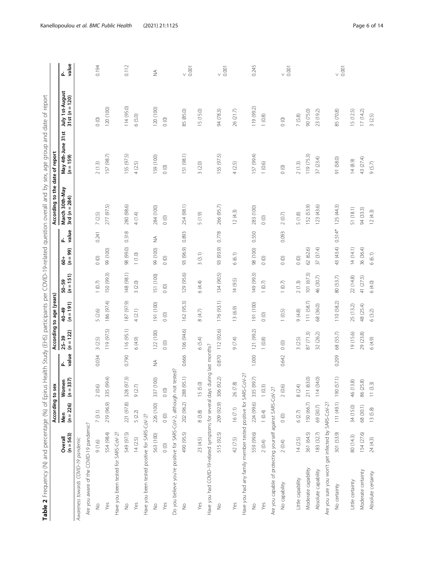| ֕<br>١<br>j<br>l<br>١<br>$\frac{1}{2}$<br>l<br>i<br>I<br>١<br>$\overline{ }$<br>1<br>i<br>٢<br>י<br>י<br>j<br>İ<br>à<br>١<br>$\overline{a}$<br>Į<br>S<br>١<br>١<br>Ï<br>l<br>١<br>١<br>ׇ֠<br>١<br>ׇ֘֒<br>j<br>j<br>j<br>۱<br>j<br>Í<br>$\overline{\mathbf{r}}$<br>$\frac{1}{2}$<br>،<br>ا<br>J<br>ı<br>į<br>j<br>İ<br>į<br>I<br>j<br>Ï<br>֖֧֢ׅ֧֦֧֢ׅ֧֧ׅ֧֧֚֚֚֚֚֚֚֚֚֚֚֚֚֚֚֚֚֬֘֝֬֜֓֡֬֝֓<br>$\overline{\phantom{a}}$<br>ļ<br>j<br>l<br>١<br>ī<br>j<br>١<br>֦<br>j<br>١<br>å<br>l<br>l<br>j<br>ά<br>J<br>֦<br>١<br>j<br>֡֡֡֡֡֡֡֡<br>ŕ<br>Ì<br>֕<br>I<br>j<br>ï<br>I<br>ׇ֠<br>ׇ֚֘֡<br>١<br>)<br>j<br>j<br>j<br>j<br>l | i |
|----------------------------------------------------------------------------------------------------------------------------------------------------------------------------------------------------------------------------------------------------------------------------------------------------------------------------------------------------------------------------------------------------------------------------------------------------------------------------------------------------------------------------------------------------------------------------------------------------------------|---|
|                                                                                                                                                                                                                                                                                                                                                                                                                                                                                                                                                                                                                |   |
|                                                                                                                                                                                                                                                                                                                                                                                                                                                                                                                                                                                                                |   |
|                                                                                                                                                                                                                                                                                                                                                                                                                                                                                                                                                                                                                |   |
|                                                                                                                                                                                                                                                                                                                                                                                                                                                                                                                                                                                                                |   |
|                                                                                                                                                                                                                                                                                                                                                                                                                                                                                                                                                                                                                |   |
|                                                                                                                                                                                                                                                                                                                                                                                                                                                                                                                                                                                                                |   |
|                                                                                                                                                                                                                                                                                                                                                                                                                                                                                                                                                                                                                |   |
|                                                                                                                                                                                                                                                                                                                                                                                                                                                                                                                                                                                                                |   |
|                                                                                                                                                                                                                                                                                                                                                                                                                                                                                                                                                                                                                |   |
|                                                                                                                                                                                                                                                                                                                                                                                                                                                                                                                                                                                                                |   |
|                                                                                                                                                                                                                                                                                                                                                                                                                                                                                                                                                                                                                |   |
|                                                                                                                                                                                                                                                                                                                                                                                                                                                                                                                                                                                                                |   |
|                                                                                                                                                                                                                                                                                                                                                                                                                                                                                                                                                                                                                |   |
|                                                                                                                                                                                                                                                                                                                                                                                                                                                                                                                                                                                                                |   |
|                                                                                                                                                                                                                                                                                                                                                                                                                                                                                                                                                                                                                |   |
|                                                                                                                                                                                                                                                                                                                                                                                                                                                                                                                                                                                                                |   |
|                                                                                                                                                                                                                                                                                                                                                                                                                                                                                                                                                                                                                |   |
|                                                                                                                                                                                                                                                                                                                                                                                                                                                                                                                                                                                                                |   |
|                                                                                                                                                                                                                                                                                                                                                                                                                                                                                                                                                                                                                |   |
|                                                                                                                                                                                                                                                                                                                                                                                                                                                                                                                                                                                                                |   |
|                                                                                                                                                                                                                                                                                                                                                                                                                                                                                                                                                                                                                |   |
|                                                                                                                                                                                                                                                                                                                                                                                                                                                                                                                                                                                                                |   |
|                                                                                                                                                                                                                                                                                                                                                                                                                                                                                                                                                                                                                |   |
|                                                                                                                                                                                                                                                                                                                                                                                                                                                                                                                                                                                                                |   |
|                                                                                                                                                                                                                                                                                                                                                                                                                                                                                                                                                                                                                |   |
|                                                                                                                                                                                                                                                                                                                                                                                                                                                                                                                                                                                                                |   |
|                                                                                                                                                                                                                                                                                                                                                                                                                                                                                                                                                                                                                |   |
|                                                                                                                                                                                                                                                                                                                                                                                                                                                                                                                                                                                                                |   |
|                                                                                                                                                                                                                                                                                                                                                                                                                                                                                                                                                                                                                |   |
|                                                                                                                                                                                                                                                                                                                                                                                                                                                                                                                                                                                                                |   |
|                                                                                                                                                                                                                                                                                                                                                                                                                                                                                                                                                                                                                |   |
|                                                                                                                                                                                                                                                                                                                                                                                                                                                                                                                                                                                                                |   |
|                                                                                                                                                                                                                                                                                                                                                                                                                                                                                                                                                                                                                |   |
|                                                                                                                                                                                                                                                                                                                                                                                                                                                                                                                                                                                                                |   |
|                                                                                                                                                                                                                                                                                                                                                                                                                                                                                                                                                                                                                |   |
|                                                                                                                                                                                                                                                                                                                                                                                                                                                                                                                                                                                                                |   |
|                                                                                                                                                                                                                                                                                                                                                                                                                                                                                                                                                                                                                |   |
|                                                                                                                                                                                                                                                                                                                                                                                                                                                                                                                                                                                                                |   |
|                                                                                                                                                                                                                                                                                                                                                                                                                                                                                                                                                                                                                |   |
|                                                                                                                                                                                                                                                                                                                                                                                                                                                                                                                                                                                                                |   |
|                                                                                                                                                                                                                                                                                                                                                                                                                                                                                                                                                                                                                |   |
|                                                                                                                                                                                                                                                                                                                                                                                                                                                                                                                                                                                                                |   |

<span id="page-5-0"></span>

|                                                                             |                        | According to sex                 |                       |               |                          | According to age (years) |                        |                             |            | According to the date of report   |                                |                                   |                      |
|-----------------------------------------------------------------------------|------------------------|----------------------------------|-----------------------|---------------|--------------------------|--------------------------|------------------------|-----------------------------|------------|-----------------------------------|--------------------------------|-----------------------------------|----------------------|
|                                                                             | $(n = 563)$<br>Overall | $(n = 226)$<br>Nen               | Women<br>$(n = 337)$  | value<br>ፈ    | $(n = 122)$<br>$25 - 39$ | $40-49$<br>$(n = 191)$   | $50-59$<br>$(n = 151)$ | $(n = 99)$<br>$\frac{4}{9}$ | value<br>ፈ | March 30th-May<br>3rd $(n = 284)$ | May 4th-June 31st<br>(n = 159) | July 1st-August<br>31st (n = 120) | value<br>ፈ           |
| Awareness towards COVID-19 pandemic                                         |                        |                                  |                       |               |                          |                          |                        |                             |            |                                   |                                |                                   |                      |
| Are you aware of the COVID-19 pandemic?                                     |                        |                                  |                       |               |                          |                          |                        |                             |            |                                   |                                |                                   |                      |
| $\frac{1}{2}$                                                               | 9(1.6)                 | 7(3.1)                           | 2(0.6)                | 0.034         | 3(2.5)                   | 5 (2.6)                  | $1(0.7)$               | $\circ$ $^{\circ}$          | 0.241      | 7(2.5)                            | 2(1.3)                         | $\circ$                           | 0.194                |
| Yes                                                                         | 554 (98.4)             | 219 (96.9)                       | 335 (99.4)            |               | 119 (97.5)               | 186 (97.4)               | 150 (99.3)             | 99 (100)                    |            | 277 (97.5)                        | 157 (98.7)                     | 120(100)                          |                      |
| Have you been tested for SARS-CoV-2?                                        |                        |                                  |                       |               |                          |                          |                        |                             |            |                                   |                                |                                   |                      |
| $\frac{6}{5}$                                                               | 549 (97.5)             | 221 (97.8)                       | 328 (97.3)            | 0.790         | 116 (95.1)               | 187 (97.9)               | 148 (98.1)             | 98 (99.0)                   | 0.318      | 280 (98.6)                        | 155 (97.5)                     | 114 (95.0)                        | 0.112                |
| Yes                                                                         | 14(2.5)                | 5 (2.2)                          | 9(2.7)                |               | (6.4.9)                  | 4(2.1)                   | 3(2.0)                 | 1(1.0)                      |            | 4(1.4)                            | 4(2.5)                         | 6(5.0)                            |                      |
| Have you been tested positive for SARS-CoV-2?                               |                        |                                  |                       |               |                          |                          |                        |                             |            |                                   |                                |                                   |                      |
| $\frac{1}{2}$                                                               | 563 (100)              | 226 (100)                        | 337 (100)             | $\frac{1}{2}$ | 122 (100)                | 191 (100)                | 151 (100)              | 99 (100)                    | $\lessgtr$ | 284 (100)                         | 159 (100)                      | 120(100)                          | $\frac{1}{2}$        |
| Yes                                                                         | $\circ$                | $\circ$                          | $\circ$ $^{\circ}$    |               | $\circ$                  | $\circ$                  | $\circ$                | $\circ$                     |            | $\circ$                           | $\circ$                        | $\circ$                           |                      |
| Do you believe you're positive for SARS-CoV-2, although not tested?         |                        |                                  |                       |               |                          |                          |                        |                             |            |                                   |                                |                                   |                      |
| $\frac{1}{2}$                                                               | 490 (95.5)             |                                  | 202 (96.2) 288 (95.1) | 0.666         | 106 (94.6)               | 162(95.3)                | 129 (95.6)             | 93 (96.9)                   | 0.893      | 254 (98.1)                        | [51 (98.1)                     | 85 (85.0)                         | 0.001                |
| Yes                                                                         | 23(4.5)                | $8(3.8)$                         | 15 (5.0)              |               | 6(5.4)                   | $8(4.7)$                 | 6(4.4)                 | 3(3.1)                      |            | 5(1.9)                            | 3(2.0)                         | 15 (15.0)                         |                      |
| Have you had COVID-19-related symptoms for several days during last months? |                        |                                  |                       |               |                          |                          |                        |                             |            |                                   |                                |                                   |                      |
| $\stackrel{\circ}{\geq}$                                                    | 515 (92.5)             |                                  | 209 (92.9) 306 (92.2) | 0.870         | 112 (92.6)               | 176 (93.1)               | 134 (90.5)             | 93 (93.9)                   | 0.778      | 266 (95.7)                        | 155 (97.5)                     | 94 (78.3)                         | 0.001                |
| Yes                                                                         | 42 (7.5)               | 16(7.1)                          | 26 (7.8)              |               | 9 (7.4)                  | 13 (6.9)                 | 14(9.5)                | 6(6.1)                      |            | 12(4.3)                           | 4(2.5)                         | 26 (21.7)                         |                      |
| Have you had any family member tested positive for SARS-CoV-2?              |                        |                                  |                       |               |                          |                          |                        |                             |            |                                   |                                |                                   |                      |
| $\frac{1}{2}$                                                               |                        | 559 (99.6) 224 (99.6) 335 (99.7) |                       | 1.000         | 121 (99.2)               | 191 (100)                | 149 (99.3)             | (001) 86                    | 0.550      | 283 (100)                         | 157 (99.4)                     | 119 (99.2)                        | 0.245                |
| Yes                                                                         | 2(0.4)                 | 1(0.4)                           | 1(0.3)                |               | $1(0.8)$                 | $\circ$                  | $1(0.7)$               | $\circ$ $^{\circ}$          |            | $\circ$                           | 1(0.6)                         | 1(0.8)                            |                      |
| Are you capable of protecting yourself against SARS-CoV-2?                  |                        |                                  |                       |               |                          |                          |                        |                             |            |                                   |                                |                                   |                      |
| No capability                                                               | 2(0.4)                 | $\circ$                          | 2(0.6)                | 0.642         | $_{\odot}$ $_{\odot}$    | 1(0.5)                   | $1(0.7)$               | $\circ$                     | 0.093      | 2(0.7)                            | $\circ$ $^{\rm o}$             | $\circ$                           | $\frac{1}{\sqrt{2}}$ |
| Little capability                                                           | 14(2.5)                | 6(2.7)                           | $8(2.4)$              |               | 3(2.5)                   | 9(4.8)                   | $2(1.3)$               | $\circ$                     |            | 5(1.8)                            | $2(1.3)$                       | $7(5.8)$                          |                      |
| Moderate capability                                                         | 361 (64.5)             | 150 (66.7)                       | 211 (63.0)            |               | 87(71.3)                 | 111 (58.7)               | 101(67.3)              | 62 (62.6)                   |            | 152 (53.9)                        | 119 (75.3)                     | 90 (75.0)                         |                      |
| Absolute capability                                                         | 183 (32.7)             | 69 (30.7)                        | 114 (34.0)            |               | 32(26.2)                 | 68 (36.0)                | 46 (30.7)              | 37(37.4)                    |            | 123 (43.6)                        | 37 (23.4)                      | 23 (19.2)                         |                      |
| Are you sure you won't get infected by SARS-CoV-2?                          |                        |                                  |                       |               |                          |                          |                        |                             |            |                                   |                                |                                   |                      |
| No certainty                                                                | 301 (53.9)             |                                  | 111 (49.1) 190 (57.1) | 0.209         | 68 (55.7)                | 110 (58.2)               | 80 (53.7)              | 43 (43.4)                   | $0.514*$   | 125(44.3)                         | 91 (58.0)                      | 85 (70.8)                         | $\frac{1}{\sqrt{2}}$ |
| Little certainty                                                            | 80 (14.3)              | 34 (15.0)                        | 46 (13.8)             |               | 19 (15.6)                | 25 (13.2)                | 22 (14.8)              | 14(14.1)                    |            | 51 (18.1)                         | 14(8.9)                        | 15 (12.5)                         |                      |
| Moderate certainty                                                          | 154 (27.6)             | 68 (30.1)                        | 86 (25.8)             |               | 29 (23.8)                | 48 (25.4)                | 41 (27.5)              | 36 (36.4)                   |            | 94 (33.3)                         | 43 (27.4)                      | 17(14.2)                          |                      |
| Absolute certainty                                                          | 24 (4.3)               | 13(5.8)                          | 11(3.3)               |               | 6(4.9)                   | 6(3.2)                   | 6(4.0)                 | 6(6.1)                      |            | 12(4.3)                           | 9(5.7)                         | 3(2.5)                            |                      |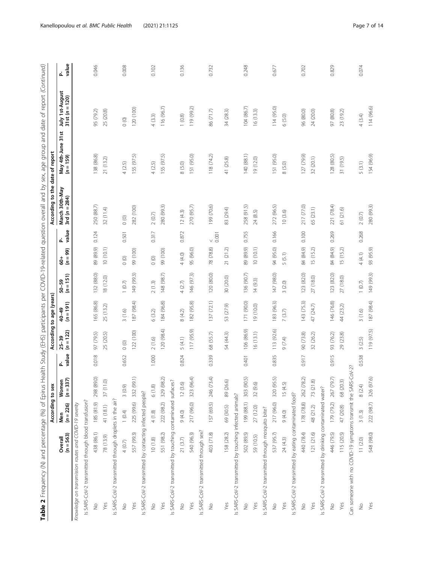| Ì<br>ţ                                                |
|-------------------------------------------------------|
|                                                       |
|                                                       |
|                                                       |
|                                                       |
|                                                       |
| ļ                                                     |
|                                                       |
|                                                       |
|                                                       |
| ֕                                                     |
|                                                       |
| $\overline{1}$<br>֡֡֡֡֡֡                              |
|                                                       |
|                                                       |
| Ĩ                                                     |
|                                                       |
| ļ                                                     |
| $\mathfrak{c}$                                        |
| $\ddot{\phantom{a}}$                                  |
| Ò                                                     |
| $\mathbf{r}$                                          |
|                                                       |
|                                                       |
| ת<br>ג                                                |
|                                                       |
| l<br>I                                                |
|                                                       |
| į<br>Ż                                                |
| i                                                     |
|                                                       |
|                                                       |
| ś                                                     |
|                                                       |
|                                                       |
|                                                       |
|                                                       |
| $\frac{1}{2}$                                         |
| ١                                                     |
| j<br>֖֖֖֖֖֧ׅ֧֧֧֧֚֚֚֚֚֚֚֚֚֚֚֚֚֚֚֚֚֚֚֚֚֚֚֚֚֚֚֬֝֝֓֝֓֞֝֓֞ |
| Ì<br>j                                                |
| ١                                                     |
| J<br>1<br>S                                           |
| J                                                     |
|                                                       |
|                                                       |
| İ                                                     |
|                                                       |
| ֕<br>J<br>֦֧ <u>֚</u>                                 |
|                                                       |
| i<br>١                                                |
|                                                       |
| Ï<br>$\overline{a}$<br>ĺ<br>۱                         |
|                                                       |
|                                                       |
|                                                       |
|                                                       |
|                                                       |
|                                                       |
|                                                       |
|                                                       |
|                                                       |
|                                                       |
| ֧֦֧֢ׅ֧ׅ֧֧ׅ֧ׅ֧֛֛֖֧֚֚֚֚֚֚֚֚֚֚֚֚֚֚֚֚֚֚֚֚֚֡֜֝֬֝֜֓<br>l    |
| j<br>j<br>l                                           |
|                                                       |
| ī                                                     |
| Ś                                                     |
| l                                                     |
| I                                                     |
| i<br>To                                               |
| آھما                                                  |
| į                                                     |
| $\ddot{\cdot}$<br>١<br>j                              |
| ï                                                     |
|                                                       |
|                                                       |
| ׇ֚֬                                                   |
|                                                       |
|                                                       |
|                                                       |
| i                                                     |
|                                                       |
| ת<br>גָ                                               |
| Ï<br>j                                                |
|                                                       |
|                                                       |
|                                                       |
|                                                       |
|                                                       |
|                                                       |
|                                                       |
|                                                       |
| I                                                     |
| ֺ֚<br>l<br>Ś                                          |
| ֖֚֚֡֬֝֬֝֬֝֬֝֬֝                                        |
| I<br>١                                                |
| l<br>í                                                |
| ı<br>ĺ                                                |
| I<br>l                                                |
| 1<br>Ï<br>í                                           |
|                                                       |

| Table 2 Frequency (N) and percentage (%) of Epirus Health Study (EHS) participants per COVID-19-related question overall and by sex, age group and date of report (Continued) |                        | According to sex   |                    |          |                          | According to age (years) |                        |                             |                      | According to the date of report   |                                |                                   |             |
|-------------------------------------------------------------------------------------------------------------------------------------------------------------------------------|------------------------|--------------------|--------------------|----------|--------------------------|--------------------------|------------------------|-----------------------------|----------------------|-----------------------------------|--------------------------------|-----------------------------------|-------------|
|                                                                                                                                                                               | $(n = 563)$<br>Overall | $(n = 226)$<br>Men | Women<br>$(n=337)$ | P_ Malue | $(n = 122)$<br>$25 - 39$ | $(n = 191)$<br>40-49     | $50-59$<br>$(n = 151)$ | $(n = 99)$<br>$\frac{4}{9}$ | P_<br>value          | March 30th-May<br>3rd $(n = 284)$ | May 4th-June 31st<br>(n = 159) | July 1st-August<br>31st (n = 120) | P-<br>value |
| Knowledge on transmission routes and COVID-19 severity                                                                                                                        |                        |                    |                    |          |                          |                          |                        |                             |                      |                                   |                                |                                   |             |
| Is SARS-CoV-2 transmitted through blood transfusion?                                                                                                                          |                        |                    |                    |          |                          |                          |                        |                             |                      |                                   |                                |                                   |             |
| $\frac{1}{2}$                                                                                                                                                                 | 438 (86.1)             | 185 (81.9)         | 298 (89.0)         | 0.018    | 97 (79.5)                | 165 (86.8)               | 132 (88.0)             | 89 (89.9)                   | 0.124                | 250 (88.7)                        | 138 (86.8)                     | 95 (79.2)                         | 0.046       |
| Yes                                                                                                                                                                           | 78 (13.9)              | 41 (18.1)          | 37(11.0)           |          | 25 (20.5)                | 25 (13.2)                | 18 (12.0)              | 10(10.1)                    |                      | 32 (11.4)                         | 21 (13.2)                      | 25 (20.8)                         |             |
| Is SARS-CoV-2 transmitted through droplets in the air?                                                                                                                        |                        |                    |                    |          |                          |                          |                        |                             |                      |                                   |                                |                                   |             |
| $\stackrel{\circ}{\geq}$                                                                                                                                                      | $4(0.7)$               | 1(0.4)             | 3(0.9)             | 0.652    | $\circ$                  | 3(1.6)                   | $1(0.7)$               | $\circ$                     | 0.501                | $\circ$                           | 4(2.5)                         | $\circ$                           | 0.008       |
| Yes                                                                                                                                                                           | 557 (99.3)             | 225 (99.6)         | 332 (99.1)         |          | 122 (100)                | 187 (98.4)               | 149 (99.3)             | 99 (100)                    |                      | 282 (100)                         | 155 (97.5)                     | 120 (100)                         |             |
| Is SARS-CoV-2 transmitted by contacting infected people?                                                                                                                      |                        |                    |                    |          |                          |                          |                        |                             |                      |                                   |                                |                                   |             |
| $\frac{1}{2}$                                                                                                                                                                 | 10(1.8)                | 4(1.8)             | $6(1.8)$           | 1.000    | 2(1.6)                   | 6(3.2)                   | 2(1.3)                 | $\circ$                     | 0.317                | $2\ (0.7)$                        | 4(2.5)                         | 4(3.3)                            | 0.102       |
| Yes                                                                                                                                                                           | 551 (98.2)             | 222 (98.2)         | 329 (98.2)         |          | 120 (98.4)               | 184 (96.8)               | 148 (98.7)             | 99 (100)                    |                      | 280 (99.3)                        | 155 (97.5)                     | 116 (96.7)                        |             |
| is SARS-CoV-2 transmitted by touching contaminated surfaces?                                                                                                                  |                        |                    |                    |          |                          |                          |                        |                             |                      |                                   |                                |                                   |             |
| $\stackrel{\circ}{\geq}$                                                                                                                                                      | 21(3.7)                | (0.40)             | 12(3.6)            | 0.824    | 5(4.1)                   | 8(4.2)                   | 4(2.7)                 | 4 (4.0)                     | 0.872                | 12(4.3)                           | 8(5.0)                         | 1(0.8)                            | 0.136       |
| Yes                                                                                                                                                                           | 540 (96.3)             | 217 (96.0)         | 323 (96.4)         |          | 117 (95.9)               | 182 (95.8)               | 146 (97.3)             | 95 (96.0)                   |                      | 270 (95.7)                        | 151 (95.0)                     | 119 (99.2)                        |             |
| Is SARS-CoV-2 transmitted through sex?                                                                                                                                        |                        |                    |                    |          |                          |                          |                        |                             |                      |                                   |                                |                                   |             |
| $\frac{1}{2}$                                                                                                                                                                 | 403 (71.8)             | 157 (69.5)         | 246 (73.4)         | 0.339    | 68 (55.7)                | 137 (72.1)               | 120 (80.0)             | 78 (78.8)                   | $\frac{1}{\sqrt{2}}$ | 199 (70.6)                        | 118(74.2)                      | 86 (71.7)                         | 0.732       |
| Yes                                                                                                                                                                           | 158 (28.2)             | 69 (30.5)          | 89 (26.6)          |          | 54 (44.3)                | 53 (27.9)                | 30 (20.0)              | 21(21.2)                    |                      | 83 (29.4)                         | 41 (25.8)                      | 34 (28.3)                         |             |
| Is SARS-CoV-2 transmitted by touching infected animals?                                                                                                                       |                        |                    |                    |          |                          |                          |                        |                             |                      |                                   |                                |                                   |             |
| $\stackrel{\circ}{\geq}$                                                                                                                                                      | 502 (89.5)             | 199 (88.1)         | 303 (90.5)         | 0.401    | 106 (86.9)               | 171 (90.0)               | 136 (90.7)             | 89 (89.9)                   | 0.755                | 258 (91.5)                        | 140 (88.1)                     | 104 (86.7)                        | 0.248       |
| Yes                                                                                                                                                                           | 59 (10.5)              | 27 (12.0)          | 32 (9.6)           |          | 16(13.1)                 | 19 (10.0)                | 14(9.3)                | 10(10.1)                    |                      | 24 (8.5)                          | 19 (12.0)                      | 16(13.3)                          |             |
| Is SARS-CoV-2 transmitted through mosquito bite?                                                                                                                              |                        |                    |                    |          |                          |                          |                        |                             |                      |                                   |                                |                                   |             |
| $\frac{1}{2}$                                                                                                                                                                 | 537 (95.7)             | 217 (96.0)         | 320 (95.5)         | 0.835    | 113 (92.6)               | 183 (96.3)               | 147 (98.0)             | 94 (95.0)                   | 0.166                | 272 (96.5)                        | 151 (95.0)                     | 114 (95.0)                        | 0.677       |
| Yes                                                                                                                                                                           | 24(4.3)                | 9(4.0)             | 15(4.5)            |          | 9 (7.4)                  | 7(3.7)                   | 3(2.0)                 | 5(5.1)                      |                      | 10(3.6)                           | 8 (5.0)                        | 6(5.0)                            |             |
| Is SARS-CoV-2 transmitted by eating contaminated food?                                                                                                                        |                        |                    |                    |          |                          |                          |                        |                             |                      |                                   |                                |                                   |             |
| $\frac{1}{2}$                                                                                                                                                                 | 440 (78.4)             | 178 (78.8)         | 262 (78.2)         | 0.917    | 90 (73.8)                | 143 (75.3)               | 123 (82.0)             | 84 (84.9)                   | 0.100                | 217 (77.0)                        | 127 (79.9)                     | 96 (80.0)                         | 0.702       |
| Yes                                                                                                                                                                           | 121 (21.6)             | 48 (21.2)          | 73 (21.8)          |          | 32 (26.2)                | 47 (24.7)                | 27 (18.0)              | 15(15.2)                    |                      | 65 (23.1)                         | 32 (20.1)                      | 24 (20.0)                         |             |
| Is SARS-CoV-2 transmitted by drinking contaminated water?                                                                                                                     |                        |                    |                    |          |                          |                          |                        |                             |                      |                                   |                                |                                   |             |
| $\stackrel{\circ}{\geq}$                                                                                                                                                      | 446 (79.5)             | 179 (79.2)         | 267 (79.7)         | 0.915    | 93 (76.2)                | 146 (76.8)               | 123 (82.0)             | 84 (84.9)                   | 0.269                | 221 (78.4)                        | 128 (80.5)                     | 97 (80.8)                         | 0.829       |
| Yes                                                                                                                                                                           | 115 (20.5)             | 47 (20.8)          | 68 (20.3)          |          | 29 (23.8)                | 44 (23.2)                | 27(18.0)               | 15 (15.2)                   |                      | 61 (21.6)                         | 31 (19.5)                      | 23 (19.2)                         |             |
| Can someone with no COVID-19 symptoms transmit the SARS-CoV-2?                                                                                                                |                        |                    |                    |          |                          |                          |                        |                             |                      |                                   |                                |                                   |             |
| $\frac{1}{2}$                                                                                                                                                                 | 11(2.0)                | 3(1.3)             | 8(2.4)             | 0.538    | 3(2.5)                   | 3(1.6)                   | $1(0.7)$               | 4 (4.1)                     | 0.268                | $2(0.7)$                          | 5(3.1)                         | 4 (3.4)                           | 0.074       |
| Yes                                                                                                                                                                           | 548 (98.0)             | 222 (98.7)         | 326 (97.6)         |          | 119 (97.5)               | 187 (98.4)               | 149 (99.3)             | 93 (95.9)                   |                      | 280 (99.3)                        | 154 (96.9)                     | 114 (96.6)                        |             |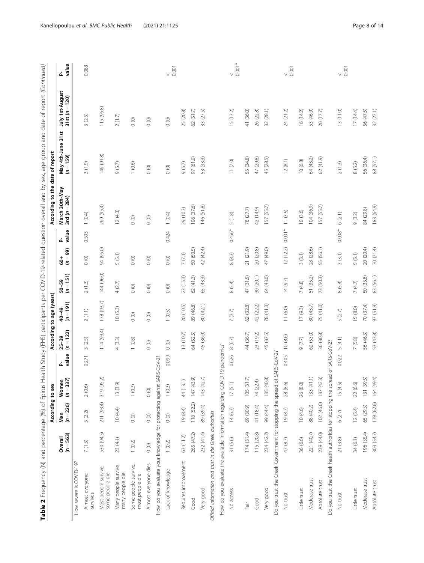| ١                                                                                |  |
|----------------------------------------------------------------------------------|--|
| $\overline{\phantom{a}}$<br>j<br>j                                               |  |
|                                                                                  |  |
|                                                                                  |  |
|                                                                                  |  |
| ١                                                                                |  |
|                                                                                  |  |
|                                                                                  |  |
|                                                                                  |  |
|                                                                                  |  |
| ì                                                                                |  |
|                                                                                  |  |
|                                                                                  |  |
| ۱                                                                                |  |
| i                                                                                |  |
| ٦<br>֡֡֡                                                                         |  |
|                                                                                  |  |
|                                                                                  |  |
| $\frac{1}{2}$<br>j                                                               |  |
|                                                                                  |  |
| $\ddot{\phantom{a}}$<br>ׇ֚֬                                                      |  |
| I                                                                                |  |
| Ï<br>)                                                                           |  |
| i<br>1                                                                           |  |
|                                                                                  |  |
| .<br>.<br>.                                                                      |  |
|                                                                                  |  |
| 1                                                                                |  |
| l<br>$\overline{a}$                                                              |  |
|                                                                                  |  |
|                                                                                  |  |
|                                                                                  |  |
|                                                                                  |  |
| j                                                                                |  |
|                                                                                  |  |
| :                                                                                |  |
| $\mathbf{I}$                                                                     |  |
| I                                                                                |  |
|                                                                                  |  |
| ï                                                                                |  |
|                                                                                  |  |
|                                                                                  |  |
| $\ddot{\cdot}$<br>ï                                                              |  |
| j                                                                                |  |
|                                                                                  |  |
| j                                                                                |  |
| ļ                                                                                |  |
| ֬֕֜֕                                                                             |  |
| ł<br>$\overline{a}$                                                              |  |
|                                                                                  |  |
|                                                                                  |  |
|                                                                                  |  |
| $\mathbf{r}$<br>$\vdots$                                                         |  |
|                                                                                  |  |
| ۱<br>ا                                                                           |  |
|                                                                                  |  |
|                                                                                  |  |
|                                                                                  |  |
|                                                                                  |  |
|                                                                                  |  |
|                                                                                  |  |
|                                                                                  |  |
| ֬֕֜֕                                                                             |  |
|                                                                                  |  |
|                                                                                  |  |
|                                                                                  |  |
|                                                                                  |  |
|                                                                                  |  |
|                                                                                  |  |
| $\overline{\phantom{a}}$                                                         |  |
| ï                                                                                |  |
|                                                                                  |  |
| ֖֖֖֖֖֖֖֧ׅ֖֧ׅ֖֖֧֪֪֪֧֪ׅ֧֪֪֪֧֪֪֧֪ׅ֧֚֚֚֚֚֚֚֚֚֚֚֚֚֚֚֚֚֚֚֚֬֜֝֬֝֓֞֓֡֬֓֬֓֬֓֬֓֞֓֡֬֓֬֓֞֓֞֬ |  |
| 5                                                                                |  |
|                                                                                  |  |
| ١                                                                                |  |
|                                                                                  |  |
|                                                                                  |  |
| Í                                                                                |  |
| $\frac{1}{2}$<br>Ì                                                               |  |
|                                                                                  |  |
| j<br>j                                                                           |  |
|                                                                                  |  |
|                                                                                  |  |
|                                                                                  |  |
|                                                                                  |  |
|                                                                                  |  |
| ļ                                                                                |  |
|                                                                                  |  |
| l                                                                                |  |
| i<br>j<br>i                                                                      |  |
|                                                                                  |  |
| İ<br>I                                                                           |  |
| j<br>Ï                                                                           |  |
| Ï<br>ׇ֚֘֡                                                                        |  |
| ֕                                                                                |  |
|                                                                                  |  |
| I                                                                                |  |
|                                                                                  |  |
|                                                                                  |  |
|                                                                                  |  |
|                                                                                  |  |
| i<br>j                                                                           |  |
|                                                                                  |  |
| j<br>١<br>ׇ֘֒                                                                    |  |
| ׇ֚֬֓֡<br>֖֚֚֚֬֕                                                                  |  |
| I<br>ׇ֠                                                                          |  |
| I                                                                                |  |
|                                                                                  |  |
| $\frac{1}{1}$                                                                    |  |
| í                                                                                |  |
|                                                                                  |  |
| Ċ<br>I                                                                           |  |

|                                                                                  |                        | According to sex     |                    |             |                          | According to age (years) |                        |                                  |            | According to the date of report   |                                |                                   |                         |
|----------------------------------------------------------------------------------|------------------------|----------------------|--------------------|-------------|--------------------------|--------------------------|------------------------|----------------------------------|------------|-----------------------------------|--------------------------------|-----------------------------------|-------------------------|
|                                                                                  | $(n = 563)$<br>Overall | Men<br>( $n = 226$ ) | $(n=337)$<br>Women | value<br>ፈ  | $(n = 122)$<br>$25 - 39$ | $(n = 191)$<br>40-49     | $50-59$<br>$(n = 151)$ | $(n = 99)$<br>$\mathsf{\dot{5}}$ | value<br>ፈ | March 30th-May<br>3rd $(n = 284)$ | May 4th-June 31st<br>(n = 159) | July 1st-August<br>31st (n = 120) | P_<br>value             |
| How severe is COVID-19?                                                          |                        |                      |                    |             |                          |                          |                        |                                  |            |                                   |                                |                                   |                         |
| Almost everyone<br>survives                                                      | 7(1.3)                 | 5 (2.2)              | 2(0.6)             | 0.271       | 3(2.5)                   | 2(1.1)                   | 2(1.3)                 | $_{\odot}$ $\,$                  | 0.593      | 1(0.4)                            | 3(1.9)                         | 3(2.5)                            | 0.088                   |
| Most people survive,<br>some people die                                          | 530 (94.5)             | 211 (93.4)           | 319 (95.2)         |             | 114(93.4)                | 178 (93.7)               | 144 (96.0)             | 94 (95.0)                        |            | 269 (95.4)                        | 146 (91.8)                     | 115 (95.8)                        |                         |
| Many people survive,<br>many people die                                          | 23(4.1)                | 10(4.4)              | 13 (3.9)           |             | $4(3.3)$                 | 10(5.3)                  | 4(2.7)                 | 5(5.1)                           |            | 12(4.3)                           | 9(5.7)                         | $2(1.7)$                          |                         |
| Some people survive,<br>most people die                                          | $1(0.2)$               | $\hbox{O}$ (0)       | 1(0.3)             |             | $1(0.8)$                 | $\hbox{O}$ (0)           | $\hbox{O}$ (0)         | $\hbox{O}$ (0)                   |            | $\circ$ $^{\rm o}$                | 1(0.6)                         | $\hbox{O}$ (0)                    |                         |
| Almost everyone dies                                                             | $\circ$ $\circ$        | $\circ$              | $\circ$ $^{o}$     |             | $\circ$ $^{\circ}$       | $\circ$                  | $\circ$                | $\circ$                          |            | $\circ$                           | $\circ$                        | $\circ$ $^{\rm o}$                |                         |
| How do you evaluate your knowledge for protecting against SARS-                  |                        |                      |                    | $-CoV-2?$   |                          |                          |                        |                                  |            |                                   |                                |                                   |                         |
| Lack of knowledge                                                                | 1(0.2)                 | $\circ$              | 1(0.3)             | 0.099       | $\circ$                  | 1(0.5)                   | $\circ$                | $\circ$                          | 0.424      | 1(0.4)                            | $\circ$                        | $\circ$                           | 0.001<br>$\vee$         |
| Requires improvement                                                             | 63 (11.2)              | 19 (8.4)             | 44 (13.1)          |             | 13(10.7)                 | 20 (10.5)                | 23 (15.3)              | $7\ (7.1)$                       |            | 29 (10.3)                         | 9(5.7)                         | 25 (20.8)                         |                         |
| Good                                                                             | 265 (47.2)             | 118 (52.2)           | 147(43.9)          |             | 64 (52.5)                | 89 (46.8)                | 62(41.3)               | 50 (50.5)                        |            | 106 (37.6)                        | 97 (61.0)                      | 62 (51.7)                         |                         |
| Very good                                                                        | 232 (41.4)             | 89 (39.4)            | 143(42.7)          |             | 45 (36.9)                | 80 (42.1)                | 65 (43.3)              | 42 (42.4)                        |            | 146 (51.8)                        | 53 (33.3)                      | 33 (27.5)                         |                         |
| Official information and trust in the Greek authorities                          |                        |                      |                    |             |                          |                          |                        |                                  |            |                                   |                                |                                   |                         |
| How do you evaluate the available information regarding COVID-19                 |                        |                      |                    | pandemic?   |                          |                          |                        |                                  |            |                                   |                                |                                   |                         |
| No access                                                                        | 31(5.6)                | 14(6.3)              | 17(5.1)            | 0.626       | 8(6.7)                   | 7(3.7)                   | 8(5.4)                 | 8(8.3)                           | 0.456*     | 5(1.8)                            | 11(7.0)                        | 15(13.2)                          | $\frac{1}{2}$<br>0.001* |
| Fair                                                                             | 174 (31.4)             | 69 (30.9)            | 105(31.7)          |             | 44 (36.7)                | 62 (32.8)                | 47 (31.5)              | 21 (21.9)                        |            | 78 (27.7)                         | 55 (34.8)                      | 41 (36.0)                         |                         |
| Good                                                                             | 115 (20.8)             | 41 (18.4)            | 74 (22.4)          |             | 23 (19.2)                | 42 (22.2)                | 30(20.1)               | 20 (20.8)                        |            | 42 (14.9)                         | 47 (29.8)                      | 26 (22.8)                         |                         |
| Very good                                                                        | 234 (42.2)             | 99 (44.4)            | 135 (40.8)         |             | 45 (37.5)                | 78 (41.3)                | 64 (43.0)              | 47 (49.0)                        |            | 157 (55.7)                        | 45 (28.5)                      | 32 (28.1)                         |                         |
| Do you trust the Greek Government for stopping the spread of SAI                 |                        |                      |                    | $RS-CoV-2?$ |                          |                          |                        |                                  |            |                                   |                                |                                   |                         |
| No trust                                                                         | 47 (8.7)               | 19(8.7)              | 28 (8.6)           | 0.405       | 10(8.6)                  | 11(6.0)                  | 14(9.7)                | 12(12.2)                         | $0.001*$   | 11(3.9)                           | 12(8.1)                        | 24 (21.2)                         | $0.001$<br>$\vee$       |
| Little trust                                                                     | 36 (6.6)               | 10(4.6)              | 26(8.0)            |             | 9(7.7)                   | 17(9.3)                  | $7(4.8)$               | 3(3.1)                           |            | 10(3.6)                           | 10(6.8)                        | 16(14.2)                          |                         |
| Moderate trust                                                                   | 221 (40.7)             | 88 (40.2)            | 133(41.1)          |             | 62 (53.0)                | 80 (43.7)                | 51 (35.2)              | 28 (28.6)                        |            | 104 (36.9)                        | 64 (43.2)                      | 53 (46.9)                         |                         |
| Absolute trust                                                                   | 239 (44.0)             | 102 (46.6)           | 137(42.3)          |             | 36 (30.8)                | 75 (41.0)                | 73 (50.3)              | 55 (56.1)                        |            | 157 (55.7)                        | 62(41.9)                       | 20(17.7)                          |                         |
| Do you trust the Greek health authorities for stopping the spread of SARS-CoV-2? |                        |                      |                    |             |                          |                          |                        |                                  |            |                                   |                                |                                   |                         |
| No trust                                                                         | 21(3.8)                | 6(2.7)               | 15 (4.5)           | 0.022       | 5(4.1)                   | 5(2.7)                   | 8(5.4)                 | 3(3.1)                           | $0.008*$   | 6(2.1)                            | 2(1.3)                         | 13(11.0)                          | 0.001                   |
| Little trust                                                                     | 34(6.1)                | 12(5.4)              | 22(6.6)            |             | $7(5.8)$                 | 15 (8.0)                 | $7(4.7)$               | 5(5.1)                           |            | 9(3.2)                            | 8(5.2)                         | 17(14.4)                          |                         |
| Moderate trust                                                                   | 196 (35.4)             | 65 (29.3)            | 131 (39.5)         |             | 56 (46.3)                | 70 (37.4)                | 50 (33.8)              | 20 (20.4)                        |            | 84 (29.8)                         | 56 (36.4)                      | 56 (47.5)                         |                         |
| Absolute trust                                                                   | 303 (54.7)             | 139 (62.6)           | 164 (49.4)         |             | 53 (43.8)                | 97 (51.9)                | 83 (56.1)              | 70 (71.4)                        |            | 183 (64.9)                        | 88 (57.1)                      | 32 (27.1)                         |                         |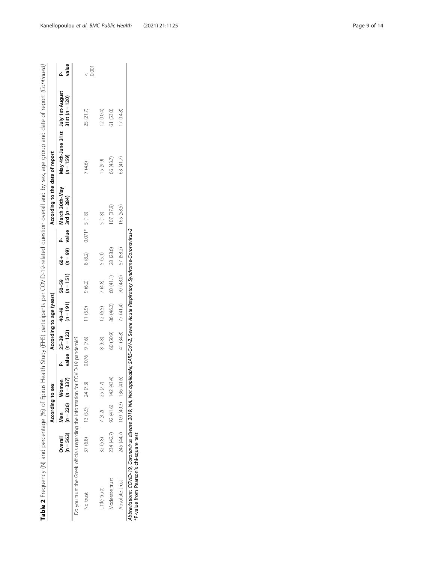|                                                                                                                                                                               |                        | According to sex                     |          |                 |           | According to age (years) |                     |               |                 | According to the date of report                                                              |             |                                                       |       |
|-------------------------------------------------------------------------------------------------------------------------------------------------------------------------------|------------------------|--------------------------------------|----------|-----------------|-----------|--------------------------|---------------------|---------------|-----------------|----------------------------------------------------------------------------------------------|-------------|-------------------------------------------------------|-------|
|                                                                                                                                                                               | $(n = 563)$<br>Overall | $(n = 226)$ $(n = 337)$<br>Men       | Women    |                 | $P-25-39$ | 40-49                    | $50 - 59$           | $\frac{4}{6}$ |                 | March 30th-May<br>value $(n = 122)$ $(n = 191)$ $(n = 151)$ $(n = 99)$ value 3rd $(n = 284)$ | $(n = 159)$ | May 4th-June 31st July 1st-August<br>$31st (n = 120)$ | value |
| Do you trust the Greek officials regarding the information for COVID-19 pandemic?                                                                                             |                        |                                      |          |                 |           |                          |                     |               |                 |                                                                                              |             |                                                       |       |
| No trust                                                                                                                                                                      | 37 (6.8)               | $13(5.9)$ $24(7.3)$                  |          | $0.076$ 9 (7.6) |           | 11(5.9)                  | 9(6.2)              | 8(8.2)        | $0.071* 5(1.8)$ |                                                                                              | 7 (4.6)     | 25 (21.7)                                             | 0.001 |
| Little trust                                                                                                                                                                  | 32 (5.8)               | 7(3.2)                               | 25 (7.7) |                 | 8 (6.8)   | 12(6.5)                  | 7(4.8)              | 5(5.1)        |                 | 5(1.8)                                                                                       | 15(9.9)     | 12 (10.4)                                             |       |
| Moderate trust                                                                                                                                                                |                        | $234(42.7)$ 92 $(41.6)$ 142 $(43.4)$ |          |                 | 60 (50.9) | 86 (46.2)                | 60 (41.1)           | 28 (28.6)     |                 | 107 (37.9)                                                                                   | 66 (43.7)   | 61 (53.0)                                             |       |
| Absolute trust                                                                                                                                                                |                        | 245 (44.7) 109 (49.3) 136 (41.6)     |          |                 | 41 (34.8) | 77 (41.4)                | 70 (48.0) 57 (58.2) |               |                 | 165 (58.5)                                                                                   | 63 (41.7)   | 17(14.8)                                              |       |
| Abbreviations: COVID-19, Coronavirus disease 2019; NA, Not applicable; SARS-CoV-2, Severe Acute Respiratory Syndrome-Coronavirus-2<br>*P-value from Pearson's chi-square test |                        |                                      |          |                 |           |                          |                     |               |                 |                                                                                              |             |                                                       |       |

Kanellopoulou et al. BMC Public Health (2021) 21:1125 extending the state of the Page 9 of 14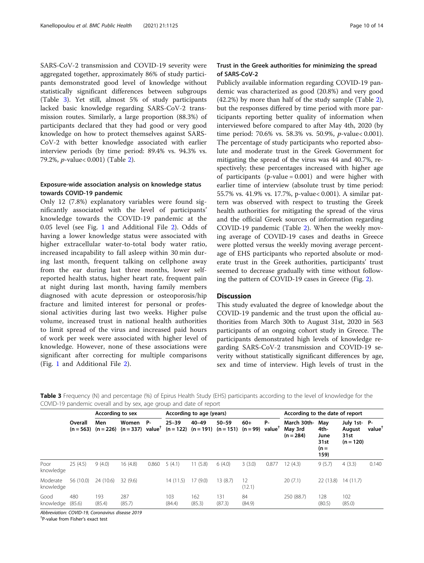SARS-CoV-2 transmission and COVID-19 severity were aggregated together, approximately 86% of study participants demonstrated good level of knowledge without statistically significant differences between subgroups (Table 3). Yet still, almost 5% of study participants lacked basic knowledge regarding SARS-CoV-2 transmission routes. Similarly, a large proportion (88.3%) of participants declared that they had good or very good knowledge on how to protect themselves against SARS-CoV-2 with better knowledge associated with earlier interview periods (by time period: 89.4% vs. 94.3% vs. 79.2%, p-value< 0.001) (Table [2\)](#page-5-0).

## Exposure-wide association analysis on knowledge status towards COVID-19 pandemic

Only 12 (7.8%) explanatory variables were found significantly associated with the level of participants' knowledge towards the COVID-19 pandemic at the 0.05 level (see Fig. [1](#page-10-0) and Additional File [2](#page-12-0)). Odds of having a lower knowledge status were associated with higher extracellular water-to-total body water ratio, increased incapability to fall asleep within 30 min during last month, frequent talking on cellphone away from the ear during last three months, lower selfreported health status, higher heart rate, frequent pain at night during last month, having family members diagnosed with acute depression or osteoporosis/hip fracture and limited interest for personal or professional activities during last two weeks. Higher pulse volume, increased trust in national health authorities to limit spread of the virus and increased paid hours of work per week were associated with higher level of knowledge. However, none of these associations were significant after correcting for multiple comparisons (Fig. [1](#page-10-0) and Additional File [2\)](#page-12-0).

## Trust in the Greek authorities for minimizing the spread of SARS-CoV-2

Publicly available information regarding COVID-19 pandemic was characterized as good (20.8%) and very good (42.2%) by more than half of the study sample (Table [2](#page-5-0)), but the responses differed by time period with more participants reporting better quality of information when interviewed before compared to after May 4th, 2020 (by time period: 70.6% vs. 58.3% vs. 50.9%, p-value< 0.001). The percentage of study participants who reported absolute and moderate trust in the Greek Government for mitigating the spread of the virus was 44 and 40.7%, respectively; these percentages increased with higher age of participants (p-value  $= 0.001$ ) and were higher with earlier time of interview (absolute trust by time period: 55.7% vs. 41.9% vs. 17.7%, p-value< 0.001). A similar pattern was observed with respect to trusting the Greek health authorities for mitigating the spread of the virus and the official Greek sources of information regarding COVID-19 pandemic (Table [2\)](#page-5-0). When the weekly moving average of COVID-19 cases and deaths in Greece were plotted versus the weekly moving average percentage of EHS participants who reported absolute or moderate trust in the Greek authorities, participants' trust seemed to decrease gradually with time without following the pattern of COVID-19 cases in Greece (Fig. [2\)](#page-11-0).

## **Discussion**

This study evaluated the degree of knowledge about the COVID-19 pandemic and the trust upon the official authorities from March 30th to August 31st, 2020 in 563 participants of an ongoing cohort study in Greece. The participants demonstrated high levels of knowledge regarding SARS-CoV-2 transmission and COVID-19 severity without statistically significant differences by age, sex and time of interview. High levels of trust in the

Table 3 Frequency (N) and percentage (%) of Epirus Health Study (EHS) participants according to the level of knowledge for the COVID-19 pandemic overall and by sex, age group and date of report

|                       |               | According to sex                           |               |                                 |               | According to age (years) |                                                             |              |                                 | According to the date of report       |                                               |                                              |                    |
|-----------------------|---------------|--------------------------------------------|---------------|---------------------------------|---------------|--------------------------|-------------------------------------------------------------|--------------|---------------------------------|---------------------------------------|-----------------------------------------------|----------------------------------------------|--------------------|
|                       | Overall       | Men<br>$(n = 563)$ $(n = 226)$ $(n = 337)$ | Women         | <b>P-</b><br>value <sup>†</sup> | $25 - 39$     | $40 - 49$                | $50 - 59$<br>$(n = 122)$ $(n = 191)$ $(n = 151)$ $(n = 99)$ | $60+$        | <b>P-</b><br>value <sup>1</sup> | March 30th-<br>May 3rd<br>$(n = 284)$ | May<br>4th-<br>June<br>31st<br>$(n =$<br>159) | July 1st-P-<br>August<br>31st<br>$(n = 120)$ | value <sup>†</sup> |
| Poor<br>knowledge     | 25(4.5)       | 9(4.0)                                     | 16(4.8)       | 0.860                           | 5(4.1)        | 11(5.8)                  | 6(4.0)                                                      | 3(3.0)       | 0.877                           | 12(4.3)                               | 9(5.7)                                        | 4(3.3)                                       | 0.140              |
| Moderate<br>knowledge | 56 (10.0)     | 24 (10.6)                                  | 32(9.6)       |                                 | 14(11.5)      | 17(9.0)                  | 13(8.7)                                                     | 12<br>(12.1) |                                 | 20(7.1)                               | 22 (13.8)                                     | 14(11.7)                                     |                    |
| Good<br>knowledge     | 480<br>(85.6) | 193<br>(85.4)                              | 287<br>(85.7) |                                 | 103<br>(84.4) | 162<br>(85.3)            | 131<br>(87.3)                                               | 84<br>(84.9) |                                 | 250 (88.7)                            | 128<br>(80.5)                                 | 102<br>(85.0)                                |                    |

Abbreviation: COVID-19, Coronavirus disease 2019

† P-value from Fisher's exact test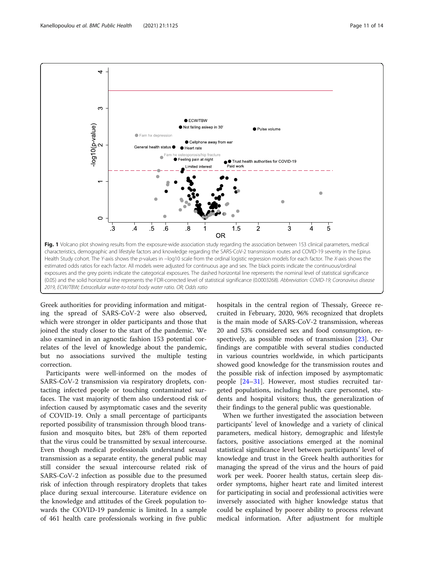<span id="page-10-0"></span>

Greek authorities for providing information and mitigating the spread of SARS-CoV-2 were also observed, which were stronger in older participants and those that joined the study closer to the start of the pandemic. We also examined in an agnostic fashion 153 potential correlates of the level of knowledge about the pandemic, but no associations survived the multiple testing correction.

Participants were well-informed on the modes of SARS-CoV-2 transmission via respiratory droplets, contacting infected people or touching contaminated surfaces. The vast majority of them also understood risk of infection caused by asymptomatic cases and the severity of COVID-19. Only a small percentage of participants reported possibility of transmission through blood transfusion and mosquito bites, but 28% of them reported that the virus could be transmitted by sexual intercourse. Even though medical professionals understand sexual transmission as a separate entity, the general public may still consider the sexual intercourse related risk of SARS-CoV-2 infection as possible due to the presumed risk of infection through respiratory droplets that takes place during sexual intercourse. Literature evidence on the knowledge and attitudes of the Greek population towards the COVID-19 pandemic is limited. In a sample of 461 health care professionals working in five public hospitals in the central region of Thessaly, Greece recruited in February, 2020, 96% recognized that droplets is the main mode of SARS-CoV-2 transmission, whereas 20 and 53% considered sex and food consumption, respectively, as possible modes of transmission [\[23](#page-13-0)]. Our findings are compatible with several studies conducted in various countries worldwide, in which participants showed good knowledge for the transmission routes and the possible risk of infection imposed by asymptomatic people [\[24](#page-13-0)–[31](#page-13-0)]. However, most studies recruited targeted populations, including health care personnel, students and hospital visitors; thus, the generalization of their findings to the general public was questionable.

When we further investigated the association between participants' level of knowledge and a variety of clinical parameters, medical history, demographic and lifestyle factors, positive associations emerged at the nominal statistical significance level between participants' level of knowledge and trust in the Greek health authorities for managing the spread of the virus and the hours of paid work per week. Poorer health status, certain sleep disorder symptoms, higher heart rate and limited interest for participating in social and professional activities were inversely associated with higher knowledge status that could be explained by poorer ability to process relevant medical information. After adjustment for multiple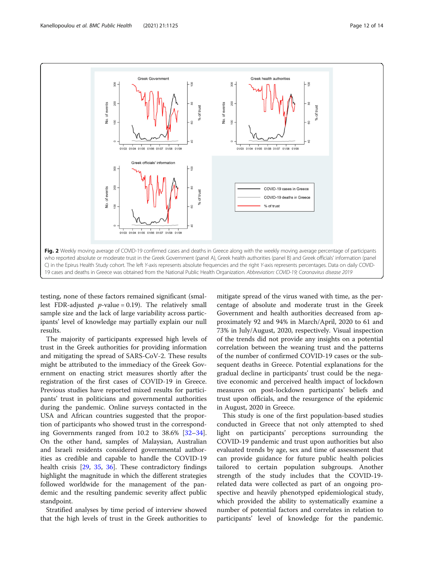<span id="page-11-0"></span>

testing, none of these factors remained significant (smallest FDR-adjusted  $p$ -value = 0.19). The relatively small sample size and the lack of large variability across participants' level of knowledge may partially explain our null results.

The majority of participants expressed high levels of trust in the Greek authorities for providing information and mitigating the spread of SARS-CoV-2. These results might be attributed to the immediacy of the Greek Government on enacting strict measures shortly after the registration of the first cases of COVID-19 in Greece. Previous studies have reported mixed results for participants' trust in politicians and governmental authorities during the pandemic. Online surveys contacted in the USA and African countries suggested that the proportion of participants who showed trust in the corresponding Governments ranged from 10.2 to 38.6% [[32](#page-13-0)–[34](#page-13-0)]. On the other hand, samples of Malaysian, Australian and Israeli residents considered governmental authorities as credible and capable to handle the COVID-19 health crisis [\[29](#page-13-0), [35](#page-13-0), [36\]](#page-13-0). These contradictory findings highlight the magnitude in which the different strategies followed worldwide for the management of the pandemic and the resulting pandemic severity affect public standpoint.

Stratified analyses by time period of interview showed that the high levels of trust in the Greek authorities to

mitigate spread of the virus waned with time, as the percentage of absolute and moderate trust in the Greek Government and health authorities decreased from approximately 92 and 94% in March/April, 2020 to 61 and 73% in July/August, 2020, respectively. Visual inspection of the trends did not provide any insights on a potential correlation between the weaning trust and the patterns of the number of confirmed COVID-19 cases or the subsequent deaths in Greece. Potential explanations for the gradual decline in participants' trust could be the negative economic and perceived health impact of lockdown measures on post-lockdown participants' beliefs and trust upon officials, and the resurgence of the epidemic in August, 2020 in Greece.

This study is one of the first population-based studies conducted in Greece that not only attempted to shed light on participants' perceptions surrounding the COVID-19 pandemic and trust upon authorities but also evaluated trends by age, sex and time of assessment that can provide guidance for future public health policies tailored to certain population subgroups. Another strength of the study includes that the COVID-19 related data were collected as part of an ongoing prospective and heavily phenotyped epidemiological study, which provided the ability to systematically examine a number of potential factors and correlates in relation to participants' level of knowledge for the pandemic.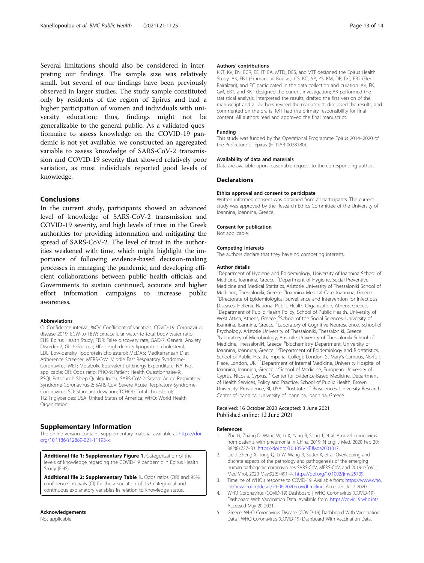<span id="page-12-0"></span>Several limitations should also be considered in interpreting our findings. The sample size was relatively small, but several of our findings have been previously observed in larger studies. The study sample constituted only by residents of the region of Epirus and had a higher participation of women and individuals with university education; thus, findings might not be generalizable to the general public. As a validated questionnaire to assess knowledge on the COVID-19 pandemic is not yet available, we constructed an aggregated variable to assess knowledge of SARS-CoV-2 transmission and COVID-19 severity that showed relatively poor variation, as most individuals reported good levels of knowledge.

## Conclusions

In the current study, participants showed an advanced level of knowledge of SARS-CoV-2 transmission and COVID-19 severity, and high levels of trust in the Greek authorities for providing information and mitigating the spread of SARS-CoV-2. The level of trust in the authorities weakened with time, which might highlight the importance of following evidence-based decision-making processes in managing the pandemic, and developing efficient collaborations between public health officials and Governments to sustain continued, accurate and higher effort information campaigns to increase public awareness.

#### Abbreviations

CI: Confidence interval; %CV: Coefficient of variation; COVID-19: Coronavirus disease 2019; ECW-to-TBW: Extracellular water-to-total body water ratio; EHS: Epirus Health Study; FDR: False discovery rate; GAD-7: General Anxiety Disorder-7; GLU: Glucose; HDL: High-density lipoprotein cholesterol; LDL: Low-density lipoprotein cholesterol; MEDAS: Mediterranean Diet Adherence Screener; MERS-CoV: Middle East Respiratory Syndrome-Coronavirus; MET: Metabolic Equivalent of Energy Expenditure; NA: Not applicable; OR: Odds ratio; PHQ-9: Patient Health Questionnaire-9; PSQI: Pittsburgh Sleep Quality Index; SARS-CoV-2: Severe Acute Respiratory Syndrome-Coronavirus-2; SARS-CoV: Severe Acute Respiratory Syndrome-Coronavirus; SD: Standard deviation; TCHOL: Total cholesterol; TG: Triglycerides; USA: United States of America; WHO: World Health Organization

## Supplementary Information

The online version contains supplementary material available at [https://doi.](https://doi.org/10.1186/s12889-021-11193-x) [org/10.1186/s12889-021-11193-x](https://doi.org/10.1186/s12889-021-11193-x).

Additional file 1: Supplementary Figure 1. Categorization of the levels of knowledge regarding the COVID-19 pandemic in Epirus Health Study (EHS).

Additional file 2: Supplementary Table 1. Odds ratios (OR) and 95% confidence intervals (CI) for the association of 153 categorical and continuous explanatory variables in relation to knowledge status.

### Acknowledgements

Not applicable.

#### Authors' contributions

KKT, KV, EN, ECR, EE, IT, EA, MTD, DES, and VTT designed the Epirus Health Study. AK, EB1 (Emmanouil Bouras), CS, KC, AP, YS, KM, DP, DC, EB2 (Eleni Bairaktari), and FC participated in the data collection and curation. AK, FK, GM, EB1, and KKT designed the current investigation; AK performed the statistical analysis, interpreted the results, drafted the first version of the manuscript and all authors revised the manuscript, discussed the results, and commented on the drafts; KKT had the primary responsibility for final content. All authors read and approved the final manuscript.

#### Funding

This study was funded by the Operational Programme Epirus 2014–2020 of the Prefecture of Epirus (ΗΠ1ΑΒ-0028180).

## Availability of data and materials

Data are available upon reasonable request to the corresponding author.

#### **Declarations**

#### Ethics approval and consent to participate

Written informed consent was obtained from all participants. The current study was approved by the Research Ethics Committee of the University of Ioannina, Ioannina, Greece.

#### Consent for publication

Not applicable.

## Competing interests

The authors declare that they have no competing interests.

#### Author details

<sup>1</sup>Department of Hygiene and Epidemiology, University of Ioannina School of Medicine, Ioannina, Greece. <sup>2</sup>Department of Hygiene, Social-Preventive Medicine and Medical Statistics, Aristotle University of Thessaloniki School of Medicine, Thessaloniki, Greece. <sup>3</sup>Ioannina Medical Care, Ioannina, Greece.<br><sup>4</sup>Directorate of Epidomialogical Sungillance and Intervention for Infectio <sup>4</sup>Directorate of Epidemiological Surveillance and Intervention for Infectious Diseases, Hellenic National Public Health Organization, Athens, Greece. 5 Department of Public Health Policy, School of Public Health, University of West Attica, Athens, Greece. <sup>6</sup>School of the Social Sciences, University of Ioannina, Ioannina, Greece. <sup>7</sup> Laboratory of Cognitive Neuroscience, School of Psychology, Aristotle University of Thessaloniki, Thessaloniki, Greece. 8 Laboratory of Microbiology, Aristotle University of Thessaloniki School of Medicine, Thessaloniki, Greece. <sup>9</sup>Biochemistry Department, University of Ioannina, Ioannina, Greece. <sup>10</sup>Department of Epidemiology and Biostatistics, School of Public Health, Imperial College London, St Mary's Campus, Norfolk Place, London, UK.<sup>11</sup>Department of Internal Medicine, University Hospital of Ioannina, Ioannina, Greece. 12School of Medicine, European University of Cyprus, Nicosia, Cyprus. 13Center for Evidence-Based Medicine, Department of Health Services, Policy and Practice, School of Public Health, Brown University, Providence, RI, USA. 14Institute of Biosciences, University Research Center of Ioannina, University of Ioannina, Ioannina, Greece.

## Received: 16 October 2020 Accepted: 3 June 2021 Published online: 12 June 2021

#### References

- 1. Zhu N, Zhang D, Wang W, Li X, Yang B, Song J, et al. A novel coronavirus from patients with pneumonia in China, 2019. N Engl J Med. 2020 Feb 20; 382(8):727–33. <https://doi.org/10.1056/NEJMoa2001017>.
- 2. Liu J, Zheng X, Tong Q, Li W, Wang B, Sutter K, et al. Overlapping and discrete aspects of the pathology and pathogenesis of the emerging human pathogenic coronaviruses SARS-CoV, MERS-CoV, and 2019-nCoV. J Med Virol. 2020 May;92(5):491–4. [https://doi.org/10.1002/jmv.25709.](https://doi.org/10.1002/jmv.25709)
- 3. Timeline of WHO's response to COVID-19. Available from: [https://www.who.](https://www.who.int/news-room/detail/29-06-2020-covidtimeline) [int/news-room/detail/29-06-2020-covidtimeline](https://www.who.int/news-room/detail/29-06-2020-covidtimeline). Accessed Jul 2 2020.
- 4. WHO Coronavirus (COVID-19) Dashboard | WHO Coronavirus (COVID-19) Dashboard With Vaccination Data. Available from: [https://covid19.who.int/.](https://covid19.who.int/) Accessed May 20 2021.
- 5. Greece: WHO Coronavirus Disease (COVID-19) Dashboard With Vaccination Data | WHO Coronavirus (COVID-19) Dashboard With Vaccination Data.